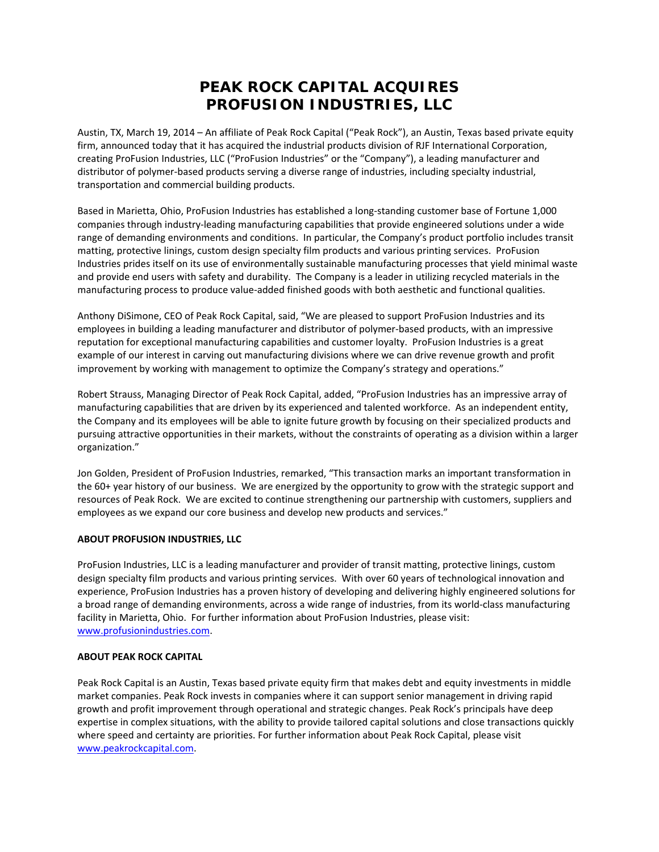## **PEAK ROCK CAPITAL ACQUIRES PROFUSION INDUSTRIES, LLC**

Austin, TX, March 19, 2014 – An affiliate of Peak Rock Capital ("Peak Rock"), an Austin, Texas based private equity firm, announced today that it has acquired the industrial products division of RJF International Corporation, creating ProFusion Industries, LLC ("ProFusion Industries" or the "Company"), a leading manufacturer and distributor of polymer‐based products serving a diverse range of industries, including specialty industrial, transportation and commercial building products.

Based in Marietta, Ohio, ProFusion Industries has established a long‐standing customer base of Fortune 1,000 companies through industry‐leading manufacturing capabilities that provide engineered solutions under a wide range of demanding environments and conditions. In particular, the Company's product portfolio includes transit matting, protective linings, custom design specialty film products and various printing services. ProFusion Industries prides itself on its use of environmentally sustainable manufacturing processes that yield minimal waste and provide end users with safety and durability. The Company is a leader in utilizing recycled materials in the manufacturing process to produce value‐added finished goods with both aesthetic and functional qualities.

Anthony DiSimone, CEO of Peak Rock Capital, said, "We are pleased to support ProFusion Industries and its employees in building a leading manufacturer and distributor of polymer-based products, with an impressive reputation for exceptional manufacturing capabilities and customer loyalty. ProFusion Industries is a great example of our interest in carving out manufacturing divisions where we can drive revenue growth and profit improvement by working with management to optimize the Company's strategy and operations."

Robert Strauss, Managing Director of Peak Rock Capital, added, "ProFusion Industries has an impressive array of manufacturing capabilities that are driven by its experienced and talented workforce. As an independent entity, the Company and its employees will be able to ignite future growth by focusing on their specialized products and pursuing attractive opportunities in their markets, without the constraints of operating as a division within a larger organization."

Jon Golden, President of ProFusion Industries, remarked, "This transaction marks an important transformation in the 60+ year history of our business. We are energized by the opportunity to grow with the strategic support and resources of Peak Rock. We are excited to continue strengthening our partnership with customers, suppliers and employees as we expand our core business and develop new products and services."

## **ABOUT PROFUSION INDUSTRIES, LLC**

ProFusion Industries, LLC is a leading manufacturer and provider of transit matting, protective linings, custom design specialty film products and various printing services. With over 60 years of technological innovation and experience, ProFusion Industries has a proven history of developing and delivering highly engineered solutions for a broad range of demanding environments, across a wide range of industries, from its world‐class manufacturing facility in Marietta, Ohio. For further information about ProFusion Industries, please visit: www.profusionindustries.com.

## **ABOUT PEAK ROCK CAPITAL**

Peak Rock Capital is an Austin, Texas based private equity firm that makes debt and equity investments in middle market companies. Peak Rock invests in companies where it can support senior management in driving rapid growth and profit improvement through operational and strategic changes. Peak Rock's principals have deep expertise in complex situations, with the ability to provide tailored capital solutions and close transactions quickly where speed and certainty are priorities. For further information about Peak Rock Capital, please visit www.peakrockcapital.com.